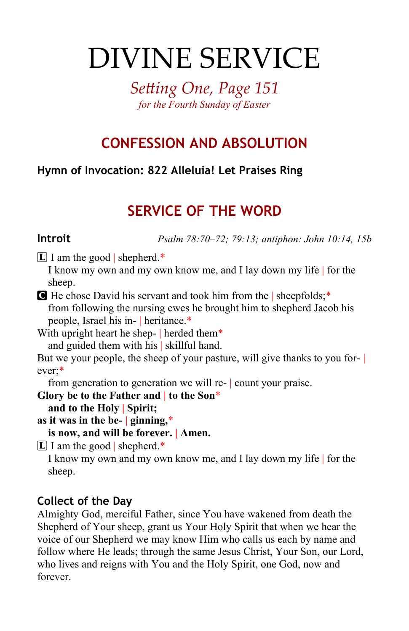# DIVINE SERVICE

*Setting One, Page 151 for the Fourth Sunday of Easter*

# **CONFESSION AND ABSOLUTION**

## **Hymn of Invocation: 822 Alleluia! Let Praises Ring**

# **SERVICE OF THE WORD**

**Introit** *Psalm 78:70–72; 79:13; antiphon: John 10:14, 15b*

 $[L]$  I am the good shepherd.\*

I know my own and my own know me, and I lay down my life | for the sheep.

C He chose David his servant and took him from the | sheepfolds;\* from following the nursing ewes he brought him to shepherd Jacob his people, Israel his in- | heritance.\*

With upright heart he shep- herded them<sup>\*</sup> and guided them with his | skillful hand.

But we your people, the sheep of your pasture, will give thanks to you forever;\*

from generation to generation we will re- | count your praise.

**Glory be to the Father and | to the Son**\*

**and to the Holy | Spirit;**

**as it was in the be- | ginning,**\*

**is now, and will be forever. | Amen.**

 $\overline{L}$  I am the good shepherd.\*

I know my own and my own know me, and I lay down my life | for the sheep.

## **Collect of the Day**

Almighty God, merciful Father, since You have wakened from death the Shepherd of Your sheep, grant us Your Holy Spirit that when we hear the voice of our Shepherd we may know Him who calls us each by name and follow where He leads; through the same Jesus Christ, Your Son, our Lord, who lives and reigns with You and the Holy Spirit, one God, now and forever.